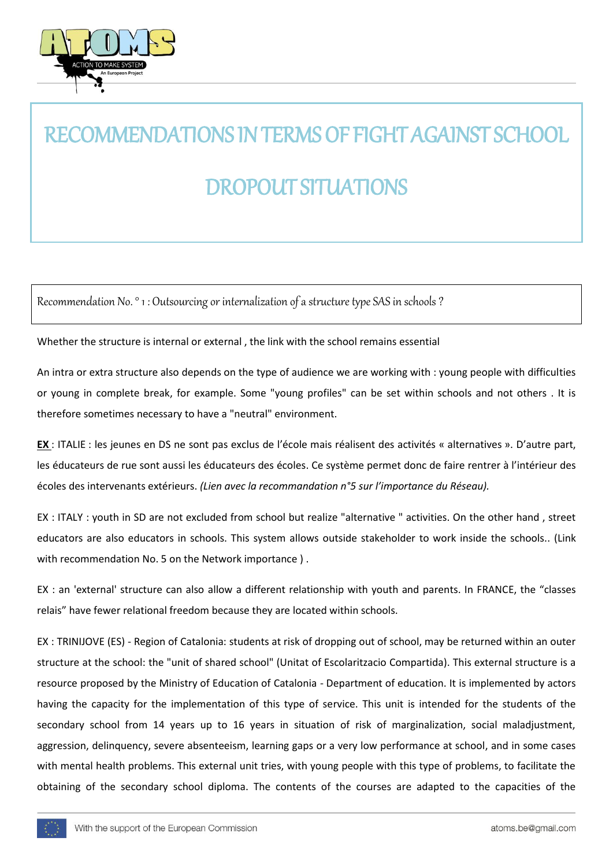

# RECOMMENDATIONS IN TERMS OF FIGHT AGAINST SCHOOL DROPOUT SITUATIONS

Recommendation No. ° 1 : Outsourcing or internalization of a structure type SAS in schools ?

Whether the structure is internal or external , the link with the school remains essential

An intra or extra structure also depends on the type of audience we are working with : young people with difficulties or young in complete break, for example. Some "young profiles" can be set within schools and not others . It is therefore sometimes necessary to have a "neutral" environment.

**EX** : ITALIE : les jeunes en DS ne sont pas exclus de l'école mais réalisent des activités « alternatives ». D'autre part, les éducateurs de rue sont aussi les éducateurs des écoles. Ce système permet donc de faire rentrer à l'intérieur des écoles des intervenants extérieurs. *(Lien avec la recommandation n°5 sur l'importance du Réseau).*

EX : ITALY : youth in SD are not excluded from school but realize "alternative " activities. On the other hand , street educators are also educators in schools. This system allows outside stakeholder to work inside the schools.. (Link with recommendation No. 5 on the Network importance ) .

EX : an 'external' structure can also allow a different relationship with youth and parents. In FRANCE, the "classes relais" have fewer relational freedom because they are located within schools.

EX : TRINIJOVE (ES) - Region of Catalonia: students at risk of dropping out of school, may be returned within an outer structure at the school: the "unit of shared school" (Unitat of Escolaritzacio Compartida). This external structure is a resource proposed by the Ministry of Education of Catalonia - Department of education. It is implemented by actors having the capacity for the implementation of this type of service. This unit is intended for the students of the secondary school from 14 years up to 16 years in situation of risk of marginalization, social maladjustment, aggression, delinquency, severe absenteeism, learning gaps or a very low performance at school, and in some cases with mental health problems. This external unit tries, with young people with this type of problems, to facilitate the obtaining of the secondary school diploma. The contents of the courses are adapted to the capacities of the

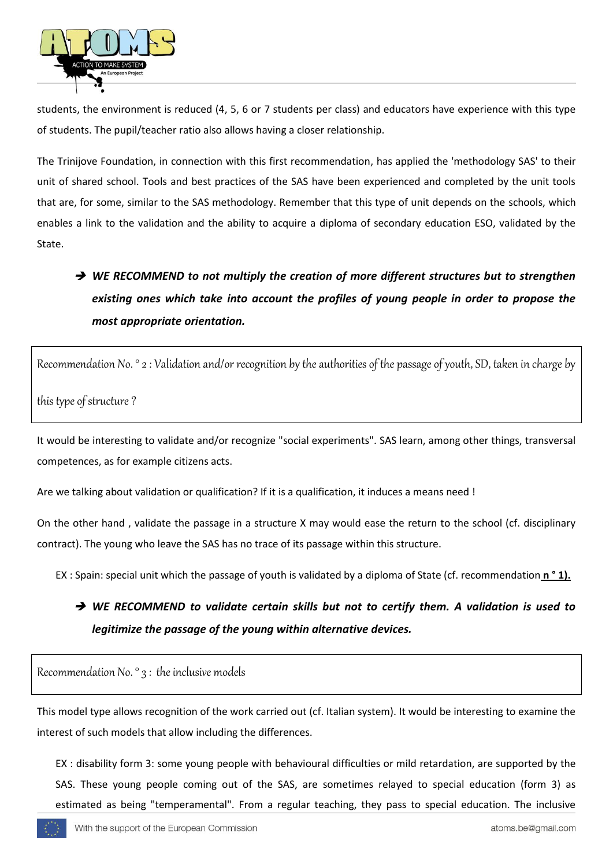

students, the environment is reduced (4, 5, 6 or 7 students per class) and educators have experience with this type of students. The pupil/teacher ratio also allows having a closer relationship.

The Trinijove Foundation, in connection with this first recommendation, has applied the 'methodology SAS' to their unit of shared school. Tools and best practices of the SAS have been experienced and completed by the unit tools that are, for some, similar to the SAS methodology. Remember that this type of unit depends on the schools, which enables a link to the validation and the ability to acquire a diploma of secondary education ESO, validated by the State.

## → WE RECOMMEND to not multiply the creation of more different structures but to strengthen *existing ones which take into account the profiles of young people in order to propose the most appropriate orientation.*

Recommendation No. ° 2 : Validation and/or recognition by the authorities of the passage of youth, SD, taken in charge by

this type of structure ?

It would be interesting to validate and/or recognize "social experiments". SAS learn, among other things, transversal competences, as for example citizens acts.

Are we talking about validation or qualification? If it is a qualification, it induces a means need !

On the other hand , validate the passage in a structure X may would ease the return to the school (cf. disciplinary contract). The young who leave the SAS has no trace of its passage within this structure.

EX : Spain: special unit which the passage of youth is validated by a diploma of State (cf. recommendation **n ° 1).** 

#### → WE RECOMMEND to validate certain skills but not to certify them. A validation is used to *legitimize the passage of the young within alternative devices.*

Recommendation No. ° 3 : the inclusive models

This model type allows recognition of the work carried out (cf. Italian system). It would be interesting to examine the interest of such models that allow including the differences.

EX : disability form 3: some young people with behavioural difficulties or mild retardation, are supported by the SAS. These young people coming out of the SAS, are sometimes relayed to special education (form 3) as estimated as being "temperamental". From a regular teaching, they pass to special education. The inclusive

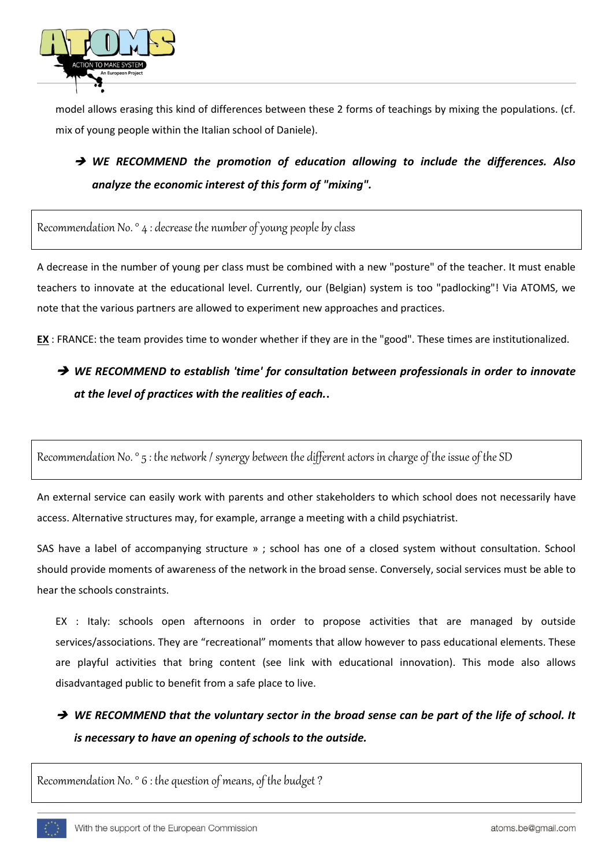

model allows erasing this kind of differences between these 2 forms of teachings by mixing the populations. (cf. mix of young people within the Italian school of Daniele).

#### *WE RECOMMEND the promotion of education allowing to include the differences. Also analyze the economic interest of this form of "mixing".*

Recommendation No. ° 4 : decrease the number of young people by class

A decrease in the number of young per class must be combined with a new "posture" of the teacher. It must enable teachers to innovate at the educational level. Currently, our (Belgian) system is too "padlocking"! Via ATOMS, we note that the various partners are allowed to experiment new approaches and practices.

**EX** : FRANCE: the team provides time to wonder whether if they are in the "good". These times are institutionalized.

### → WE RECOMMEND to establish 'time' for consultation between professionals in order to innovate *at the level of practices with the realities of each.***.**

Recommendation No. ° 5 : the network / synergy between the different actors in charge of the issue of the SD

An external service can easily work with parents and other stakeholders to which school does not necessarily have access. Alternative structures may, for example, arrange a meeting with a child psychiatrist.

SAS have a label of accompanying structure » ; school has one of a closed system without consultation. School should provide moments of awareness of the network in the broad sense. Conversely, social services must be able to hear the schools constraints.

EX : Italy: schools open afternoons in order to propose activities that are managed by outside services/associations. They are "recreational" moments that allow however to pass educational elements. These are playful activities that bring content (see link with educational innovation). This mode also allows disadvantaged public to benefit from a safe place to live.

→ WE RECOMMEND that the voluntary sector in the broad sense can be part of the life of school. It *is necessary to have an opening of schools to the outside.*

Recommendation No. ° 6 : the question of means, of the budget ?